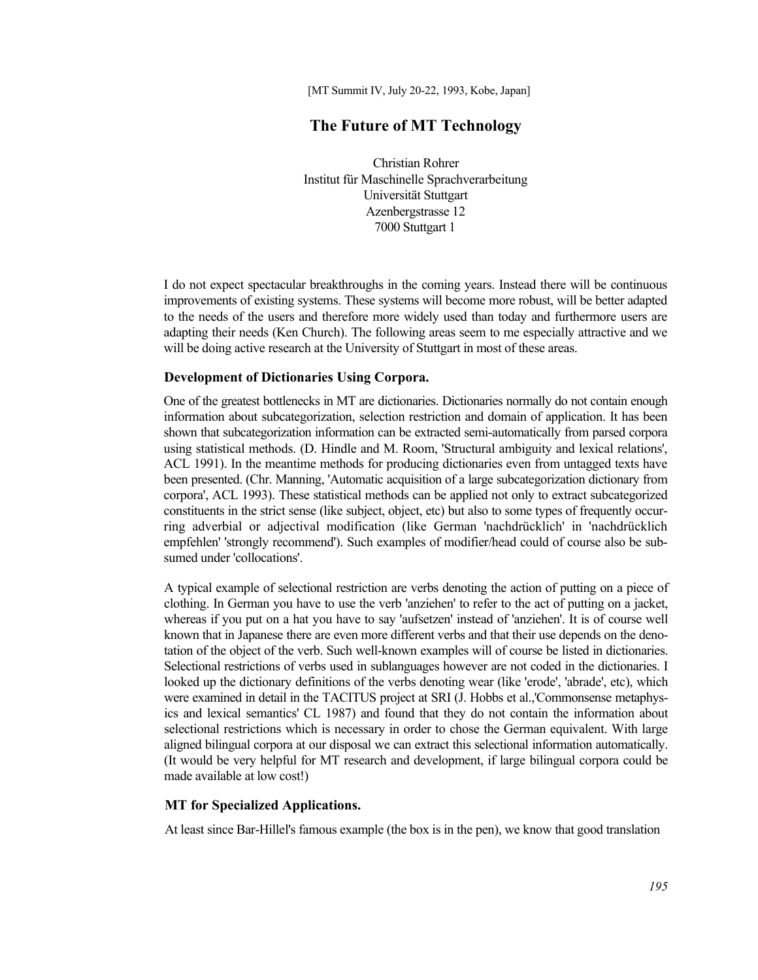[MT Summit IV, July 20-22, 1993, Kobe, Japan]

# **The Future of MT Technology**

Christian Rohrer Institut für Maschinelle Sprachverarbeitung Universität Stuttgart Azenbergstrasse 12 7000 Stuttgart 1

I do not expect spectacular breakthroughs in the coming years. Instead there will be continuous improvements of existing systems. These systems will become more robust, will be better adapted to the needs of the users and therefore more widely used than today and furthermore users are adapting their needs (Ken Church). The following areas seem to me especially attractive and we will be doing active research at the University of Stuttgart in most of these areas.

#### **Development of Dictionaries Using Corpora.**

One of the greatest bottlenecks in MT are dictionaries. Dictionaries normally do not contain enough information about subcategorization, selection restriction and domain of application. It has been shown that subcategorization information can be extracted semi-automatically from parsed corpora using statistical methods. (D. Hindle and M. Room, 'Structural ambiguity and lexical relations', ACL 1991). In the meantime methods for producing dictionaries even from untagged texts have been presented. (Chr. Manning, 'Automatic acquisition of a large subcategorization dictionary from corpora', ACL 1993). These statistical methods can be applied not only to extract subcategorized constituents in the strict sense (like subject, object, etc) but also to some types of frequently occurring adverbial or adjectival modification (like German 'nachdrücklich' in 'nachdrücklich empfehlen' 'strongly recommend'). Such examples of modifier/head could of course also be subsumed under 'collocations'.

A typical example of selectional restriction are verbs denoting the action of putting on a piece of clothing. In German you have to use the verb 'anziehen' to refer to the act of putting on a jacket, whereas if you put on a hat you have to say 'aufsetzen' instead of 'anziehen'. It is of course well known that in Japanese there are even more different verbs and that their use depends on the denotation of the object of the verb. Such well-known examples will of course be listed in dictionaries. Selectional restrictions of verbs used in sublanguages however are not coded in the dictionaries. I looked up the dictionary definitions of the verbs denoting wear (like 'erode', 'abrade', etc), which were examined in detail in the TACITUS project at SRI (J. Hobbs et al.,'Commonsense metaphysics and lexical semantics' CL 1987) and found that they do not contain the information about selectional restrictions which is necessary in order to chose the German equivalent. With large aligned bilingual corpora at our disposal we can extract this selectional information automatically. (It would be very helpful for MT research and development, if large bilingual corpora could be made available at low cost!)

# **MT for Specialized Applications.**

At least since Bar-Hillel's famous example (the box is in the pen), we know that good translation